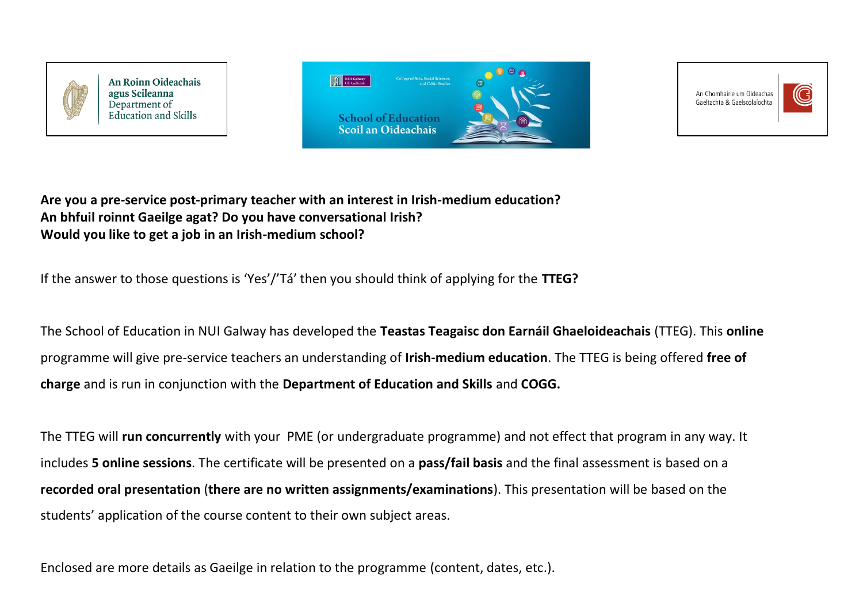

**An Roinn Oideachais** agus Scileanna Department of **Education and Skills** 





**Are you a pre-service post-primary teacher with an interest in Irish-medium education? An bhfuil roinnt Gaeilge agat? Do you have conversational Irish? Would you like to get a job in an Irish-medium school?**

If the answer to those questions is 'Yes'/'Tá' then you should think of applying for the **TTEG?**

The School of Education in NUI Galway has developed the **Teastas Teagaisc don Earnáil Ghaeloideachais** (TTEG). This **online** programme will give pre-service teachers an understanding of **Irish-medium education**. The TTEG is being offered **free of charge** and is run in conjunction with the **Department of Education and Skills** and **COGG.**

The TTEG will **run concurrently** with your PME (or undergraduate programme) and not effect that program in any way. It includes **5 online sessions**. The certificate will be presented on a **pass/fail basis** and the final assessment is based on a **recorded oral presentation** (**there are no written assignments/examinations**). This presentation will be based on the students' application of the course content to their own subject areas.

Enclosed are more details as Gaeilge in relation to the programme (content, dates, etc.).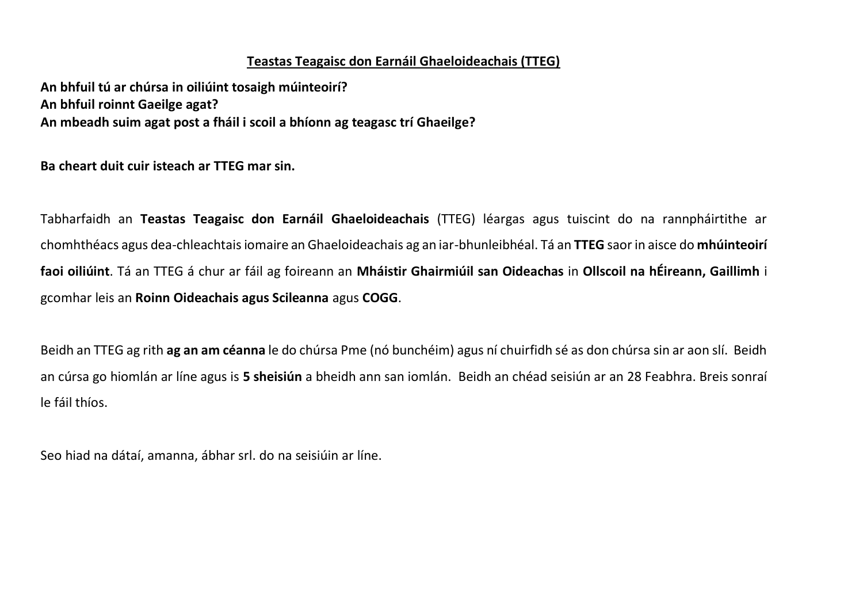## **Teastas Teagaisc don Earnáil Ghaeloideachais (TTEG)**

**An bhfuil tú ar chúrsa in oiliúint tosaigh múinteoirí? An bhfuil roinnt Gaeilge agat? An mbeadh suim agat post a fháil i scoil a bhíonn ag teagasc trí Ghaeilge?** 

**Ba cheart duit cuir isteach ar TTEG mar sin.** 

Tabharfaidh an **Teastas Teagaisc don Earnáil Ghaeloideachais** (TTEG) léargas agus tuiscint do na rannpháirtithe ar chomhthéacs agus dea-chleachtais iomaire an Ghaeloideachais ag an iar-bhunleibhéal. Tá an **TTEG** saor in aisce do **mhúinteoirí faoi oiliúint**. Tá an TTEG á chur ar fáil ag foireann an **Mháistir Ghairmiúil san Oideachas** in **Ollscoil na hÉireann, Gaillimh** i gcomhar leis an **Roinn Oideachais agus Scileanna** agus **COGG**.

Beidh an TTEG ag rith **ag an am céanna** le do chúrsa Pme (nó bunchéim) agus ní chuirfidh sé as don chúrsa sin ar aon slí. Beidh an cúrsa go hiomlán ar líne agus is **5 sheisiún** a bheidh ann san iomlán.Beidh an chéad seisiún ar an 28 Feabhra. Breis sonraí le fáil thíos.

Seo hiad na dátaí, amanna, ábhar srl. do na seisiúin ar líne.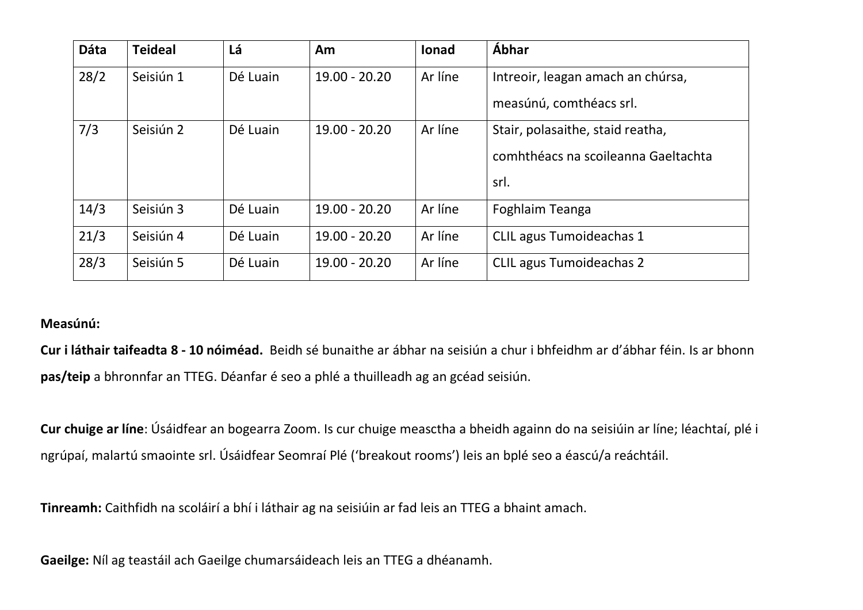| <b>Dáta</b> | <b>Teideal</b> | Lá       | Am              | <b>lonad</b> | Ábhar                               |
|-------------|----------------|----------|-----------------|--------------|-------------------------------------|
| 28/2        | Seisiún 1      | Dé Luain | $19.00 - 20.20$ | Ar líne      | Intreoir, leagan amach an chúrsa,   |
|             |                |          |                 |              | measúnú, comthéacs srl.             |
| 7/3         | Seisiún 2      | Dé Luain | 19.00 - 20.20   | Ar líne      | Stair, polasaithe, staid reatha,    |
|             |                |          |                 |              | comhthéacs na scoileanna Gaeltachta |
|             |                |          |                 |              | srl.                                |
| 14/3        | Seisiún 3      | Dé Luain | $19.00 - 20.20$ | Ar líne      | Foghlaim Teanga                     |
| 21/3        | Seisiún 4      | Dé Luain | $19.00 - 20.20$ | Ar líne      | <b>CLIL agus Tumoideachas 1</b>     |
| 28/3        | Seisiún 5      | Dé Luain | $19.00 - 20.20$ | Ar líne      | <b>CLIL agus Tumoideachas 2</b>     |

## **Measúnú:**

**Cur i láthair taifeadta 8 - 10 nóiméad.** Beidh sé bunaithe ar ábhar na seisiún a chur i bhfeidhm ar d'ábhar féin. Is ar bhonn **pas/teip** a bhronnfar an TTEG. Déanfar é seo a phlé a thuilleadh ag an gcéad seisiún.

**Cur chuige ar líne**: Úsáidfear an bogearra Zoom. Is cur chuige measctha a bheidh againn do na seisiúin ar líne; léachtaí, plé i ngrúpaí, malartú smaointe srl. Úsáidfear Seomraí Plé ('breakout rooms') leis an bplé seo a éascú/a reáchtáil.

**Tinreamh:** Caithfidh na scoláirí a bhí i láthair ag na seisiúin ar fad leis an TTEG a bhaint amach.

**Gaeilge:** Níl ag teastáil ach Gaeilge chumarsáideach leis an TTEG a dhéanamh.